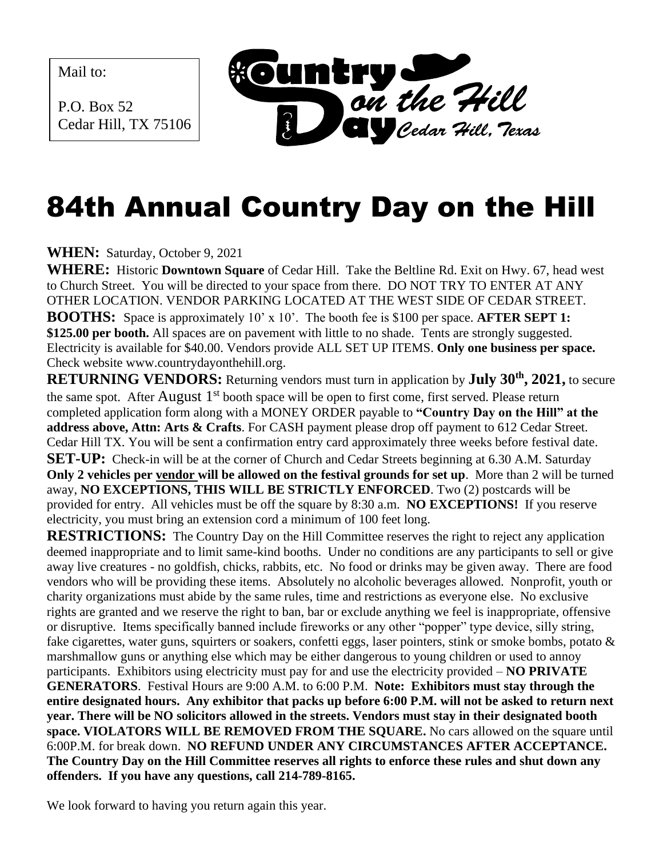Mail to:

P.O. Box 52 Cedar Hill, TX 75106



## 84th Annual Country Day on the Hill

**WHEN:** Saturday, October 9, 2021

**WHERE:** Historic **Downtown Square** of Cedar Hill. Take the Beltline Rd. Exit on Hwy. 67, head west to Church Street. You will be directed to your space from there. DO NOT TRY TO ENTER AT ANY OTHER LOCATION. VENDOR PARKING LOCATED AT THE WEST SIDE OF CEDAR STREET. **BOOTHS:** Space is approximately 10' x 10'. The booth fee is \$100 per space. **AFTER SEPT 1: \$125.00 per booth.** All spaces are on pavement with little to no shade. Tents are strongly suggested. Electricity is available for \$40.00. Vendors provide ALL SET UP ITEMS. **Only one business per space.** Check website www.countrydayonthehill.org.

**RETURNING VENDORS:** Returning vendors must turn in application by **July 30th , 2021,** to secure the same spot. After August 1<sup>st</sup> booth space will be open to first come, first served. Please return completed application form along with a MONEY ORDER payable to **"Country Day on the Hill" at the address above, Attn: Arts & Crafts**. For CASH payment please drop off payment to 612 Cedar Street. Cedar Hill TX. You will be sent a confirmation entry card approximately three weeks before festival date. **SET-UP:** Check-in will be at the corner of Church and Cedar Streets beginning at 6.30 A.M. Saturday **Only 2 vehicles per vendor will be allowed on the festival grounds for set up**. More than 2 will be turned away, **NO EXCEPTIONS, THIS WILL BE STRICTLY ENFORCED**. Two (2) postcards will be provided for entry. All vehicles must be off the square by 8:30 a.m. **NO EXCEPTIONS!** If you reserve electricity, you must bring an extension cord a minimum of 100 feet long.

**RESTRICTIONS:** The Country Day on the Hill Committee reserves the right to reject any application deemed inappropriate and to limit same-kind booths. Under no conditions are any participants to sell or give away live creatures - no goldfish, chicks, rabbits, etc. No food or drinks may be given away. There are food vendors who will be providing these items. Absolutely no alcoholic beverages allowed. Nonprofit, youth or charity organizations must abide by the same rules, time and restrictions as everyone else. No exclusive rights are granted and we reserve the right to ban, bar or exclude anything we feel is inappropriate, offensive or disruptive. Items specifically banned include fireworks or any other "popper" type device, silly string, fake cigarettes, water guns, squirters or soakers, confetti eggs, laser pointers, stink or smoke bombs, potato & marshmallow guns or anything else which may be either dangerous to young children or used to annoy participants. Exhibitors using electricity must pay for and use the electricity provided – **NO PRIVATE GENERATORS**. Festival Hours are 9:00 A.M. to 6:00 P.M. **Note: Exhibitors must stay through the entire designated hours. Any exhibitor that packs up before 6:00 P.M. will not be asked to return next year. There will be NO solicitors allowed in the streets. Vendors must stay in their designated booth space. VIOLATORS WILL BE REMOVED FROM THE SQUARE.** No cars allowed on the square until 6:00P.M. for break down. **NO REFUND UNDER ANY CIRCUMSTANCES AFTER ACCEPTANCE. The Country Day on the Hill Committee reserves all rights to enforce these rules and shut down any offenders. If you have any questions, call 214-789-8165.**

We look forward to having you return again this year.